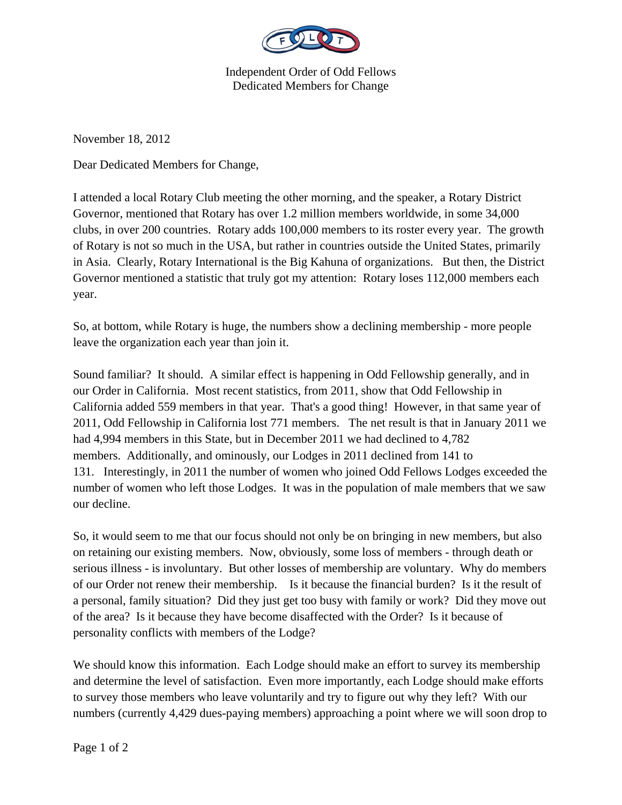

Independent Order of Odd Fellows Dedicated Members for Change

November 18, 2012

Dear Dedicated Members for Change,

I attended a local Rotary Club meeting the other morning, and the speaker, a Rotary District Governor, mentioned that Rotary has over 1.2 million members worldwide, in some 34,000 clubs, in over 200 countries. Rotary adds 100,000 members to its roster every year. The growth of Rotary is not so much in the USA, but rather in countries outside the United States, primarily in Asia. Clearly, Rotary International is the Big Kahuna of organizations. But then, the District Governor mentioned a statistic that truly got my attention: Rotary loses 112,000 members each year.

So, at bottom, while Rotary is huge, the numbers show a declining membership - more people leave the organization each year than join it.

Sound familiar? It should. A similar effect is happening in Odd Fellowship generally, and in our Order in California. Most recent statistics, from 2011, show that Odd Fellowship in California added 559 members in that year. That's a good thing! However, in that same year of 2011, Odd Fellowship in California lost 771 members. The net result is that in January 2011 we had 4,994 members in this State, but in December 2011 we had declined to 4,782 members. Additionally, and ominously, our Lodges in 2011 declined from 141 to 131. Interestingly, in 2011 the number of women who joined Odd Fellows Lodges exceeded the number of women who left those Lodges. It was in the population of male members that we saw our decline.

So, it would seem to me that our focus should not only be on bringing in new members, but also on retaining our existing members. Now, obviously, some loss of members - through death or serious illness - is involuntary. But other losses of membership are voluntary. Why do members of our Order not renew their membership. Is it because the financial burden? Is it the result of a personal, family situation? Did they just get too busy with family or work? Did they move out of the area? Is it because they have become disaffected with the Order? Is it because of personality conflicts with members of the Lodge?

We should know this information. Each Lodge should make an effort to survey its membership and determine the level of satisfaction. Even more importantly, each Lodge should make efforts to survey those members who leave voluntarily and try to figure out why they left? With our numbers (currently 4,429 dues-paying members) approaching a point where we will soon drop to